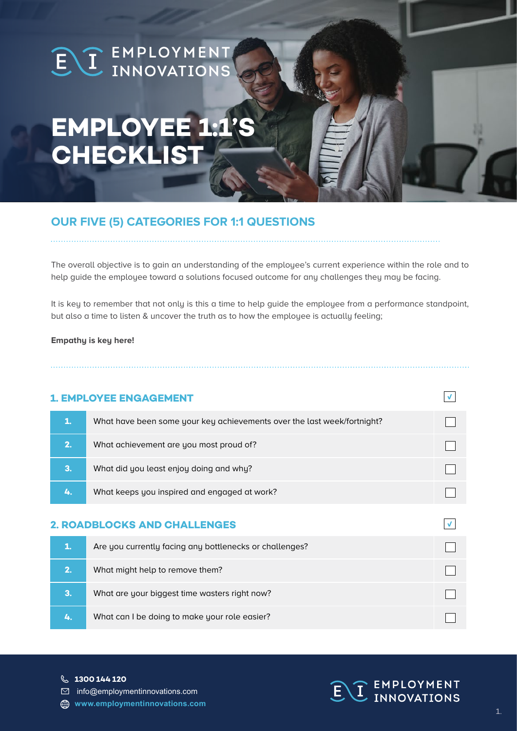# EL EMPLOYMENT

# **EMPLOYEE 1:1 CHECKLIST**

# **OUR FIVE (5) CATEGORIES FOR 1:1 QUESTIONS**

The overall objective is to gain an understanding of the employee's current experience within the role and to help guide the employee toward a solutions focused outcome for any challenges they may be facing.

It is key to remember that not only is this a time to help guide the employee from a performance standpoint, but also a time to listen & uncover the truth as to how the employee is actually feeling;

#### **Empathy is key here!**

### **1. EMPLOYEE ENGAGEMENT**

|    | What have been some your key achievements over the last week/fortnight? |  |
|----|-------------------------------------------------------------------------|--|
| 2. | What achievement are you most proud of?                                 |  |
| 3. | What did you least enjoy doing and why?                                 |  |
|    | What keeps you inspired and engaged at work?                            |  |
|    |                                                                         |  |

#### **2. ROADBLOCKS AND CHALLENGES**

| 1. | Are you currently facing any bottlenecks or challenges? |  |
|----|---------------------------------------------------------|--|
| 2. | What might help to remove them?                         |  |
| 3. | What are your biggest time wasters right now?           |  |
| Z. | What can I be doing to make your role easier?           |  |

**1300 144 120**

 $\boxdot$  info@employmentinnovations.com

**www.employmentinnovations.com**



 $\sqrt{ }$ 

 $\sqrt{ }$